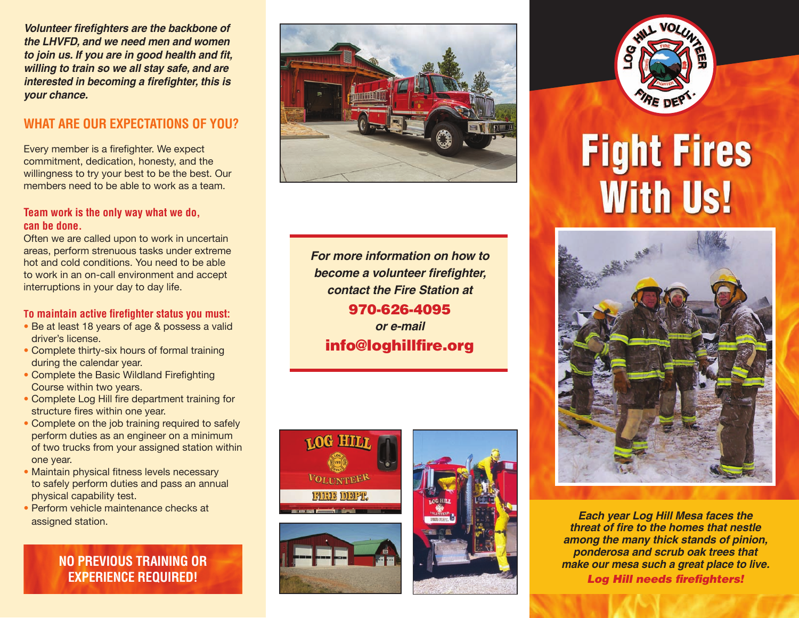*Volunteer firefighters are the backbone of the LHVFD, and we need men and women to join us. If you are in good health and fit, willing to train so we all stay safe, and are interested in becoming a firefighter, this is your chance.*

# **WHAT ARE OUR EXPECTATIONS OF YOU?**

Every member is a firefighter. We expect commitment, dedication, honesty, and the willingness to try your best to be the best. Our members need to be able to work as a team.

#### **Team work is the only way what we do, can be done.**

Often we are called upon to work in uncertain areas, perform strenuous tasks under extreme hot and cold conditions. You need to be able to work in an on-call environment and accept interruptions in your day to day life.

### **To maintain active firefighter status you must:**

- Be at least 18 years of age & possess a valid driver's license.
- Complete thirty-six hours of formal training during the calendar year.
- Complete the Basic Wildland Firefighting Course within two years.
- Complete Log Hill fire department training for structure fires within one year.
- Complete on the job training required to safely perform duties as an engineer on a minimum of two trucks from your assigned station within one year.
- Maintain physical fitness levels necessary to safely perform duties and pass an annual physical capability test.
- Perform vehicle maintenance checks at

**NO PREVIOUS TRAINING OR EXPERIENCE REQUIRED!**



*For more information on how to become a volunteer firefighter, contact the Fire Station at* 970-626-4095 *or e-mail* info@loghillfire.org

**LOG HIL** 

**VOLUNTEER** 190300 101912





# **Fight Fires With Us!**



**assigned station. Each year Log Hill Mesa faces the** assigned station. *threat of fire to the homes that nestle among the many thick stands of pinion, ponderosa and scrub oak trees that make our mesa such a great place to live. Log Hill needs firefighters!*